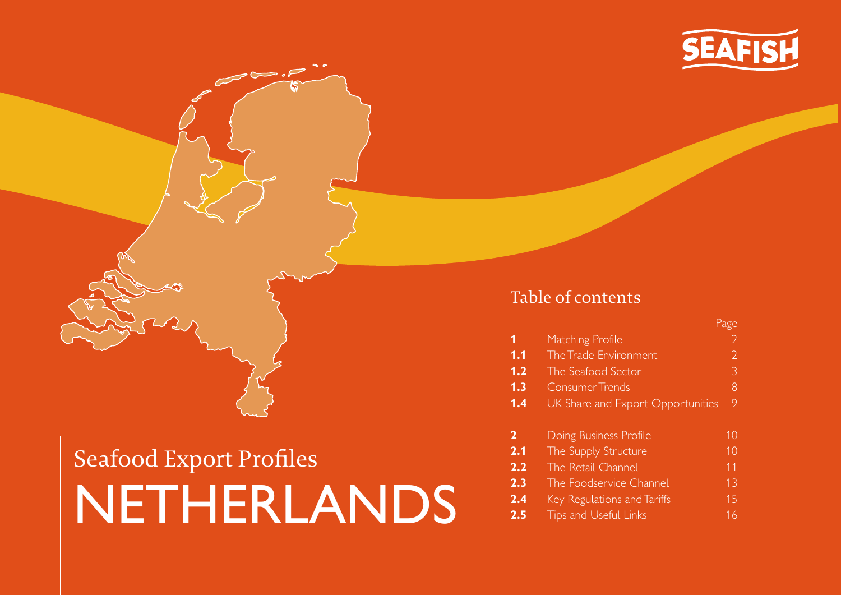

## Table of contents

|                                          | Page |
|------------------------------------------|------|
| Matching Profile                         |      |
| The Trade Environment                    | 2    |
| The Seafood Sector                       | 3    |
| <b>Consumer Trends</b>                   | 8    |
| <b>UK Share and Export Opportunities</b> | 9    |
|                                          |      |
| Doing Business Profile                   | 10   |
| The Supply Structure                     | 10   |
| The Retail Channel                       | 11   |
| The Foodservice Channel                  | 13   |
|                                          |      |

- **2.4** Key [Regulations](#page-14-0) and Tariffs 15
- **2.5** Tips and [Useful](#page-15-0) Links 16

# Seafood Export Profiles NETHERLANDS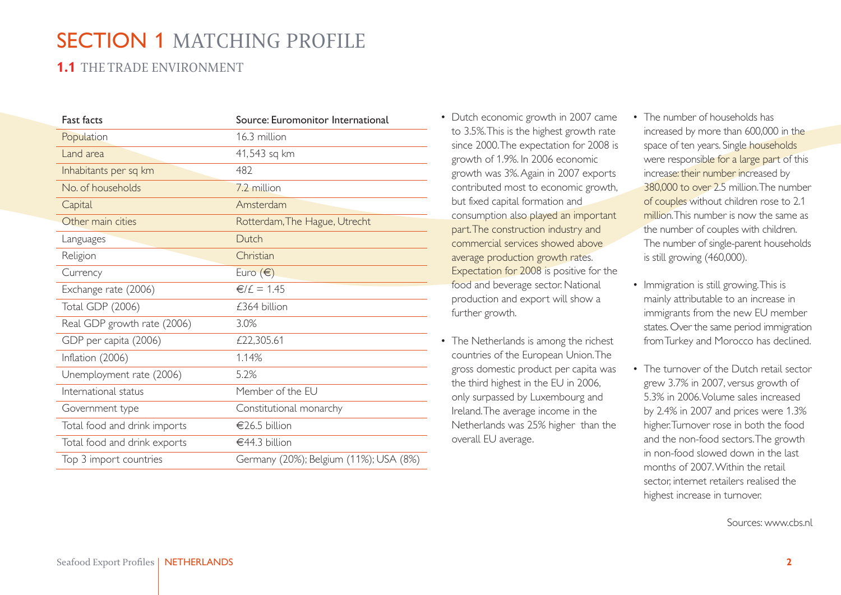## <span id="page-1-0"></span>SECTION 1 MATCHING PROFILE

## **1.1** THE TRADE ENVIRONMENT

| <b>Fast facts</b>            | Source: Euromonitor International      |
|------------------------------|----------------------------------------|
| Population                   | 16.3 million                           |
| Land area                    | 41,543 sq km                           |
| Inhabitants per sq km        | 482                                    |
| No. of households            | 7.2 million                            |
| Capital                      | Amsterdam                              |
| Other main cities            | Rotterdam, The Hague, Utrecht          |
| Languages                    | Dutch                                  |
| Religion                     | Christian                              |
| Currency                     | Euro $(\epsilon)$                      |
| Exchange rate (2006)         | $€/£ = 1.45$                           |
| <b>Total GDP (2006)</b>      | £364 billion                           |
| Real GDP growth rate (2006)  | 3.0%                                   |
| GDP per capita (2006)        | £22,305.61                             |
| Inflation (2006)             | 1.14%                                  |
| Unemployment rate (2006)     | 5.2%                                   |
| International status         | Member of the EU                       |
| Government type              | Constitutional monarchy                |
| Total food and drink imports | €26.5 billion                          |
| Total food and drink exports | €44.3 billion                          |
| Top 3 import countries       | Germany (20%); Belgium (11%); USA (8%) |

- Dutch economic growth in 2007 came to 3.5%.This is the highest growth rate since 2000.The expectation for 2008 is growth of 1.9%. In 2006 economic growth was 3%.Again in 2007 exports contributed most to economic growth, but fixed capital formation and consumption also played an important part.The construction industry and commercial services showed above average production growth rates. Expectation for 2008 is positive for the food and beverage sector. National production and export will show a further growth.
- The Netherlands is among the richest countries of the European Union.The gross domestic product per capita was the third highest in the EU in 2006, only surpassed by Luxembourg and Ireland.The average income in the Netherlands was 25% higher than the overall EU average.
- The number of households has increased by more than 600,000 in the space of ten years. Single households were responsible for a large part of this increase: their number increased by 380,000 to over 2.5 million.The number of couples without children rose to 2.1 million.This number is now the same as the number of couples with children. The number of single-parent households is still growing (460,000).
- Immigration is still growing.This is mainly attributable to an increase in immigrants from the new EU member states. Over the same period immigration fromTurkey and Morocco has declined.
- The turnover of the Dutch retail sector grew 3.7% in 2007, versus growth of 5.3% in 2006.Volume sales increased by 2.4% in 2007 and prices were 1.3% higher.Turnover rose in both the food and the non-food sectors.The growth in non-food slowed down in the last months of 2007. Within the retail sector, internet retailers realised the highest increase in turnover.

Sources: [www.cbs.nl](http://www.cbs.nl)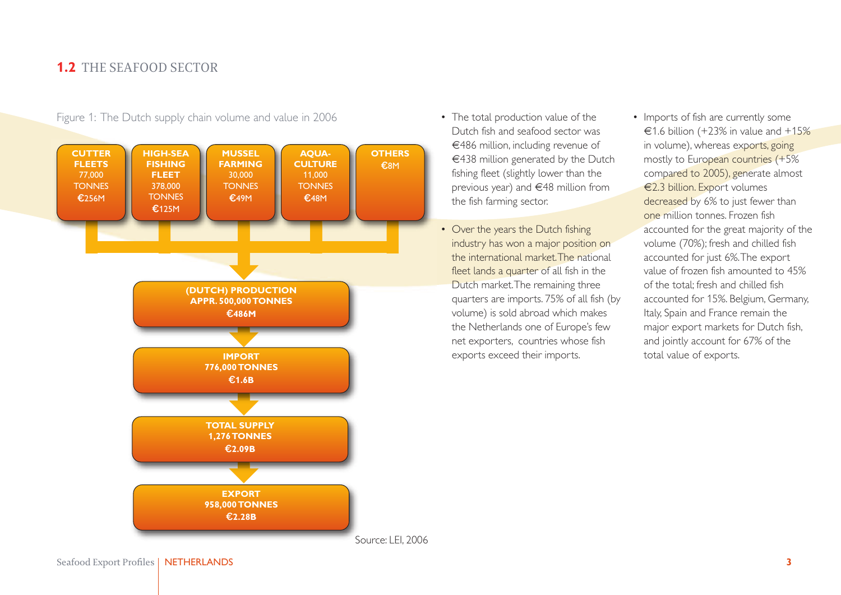

<span id="page-2-0"></span>Figure 1: The Dutch supply chain volume and value in 2006

- The total production value of the Dutch fish and seafood sector was €486 million, including revenue of €438 million generated by the Dutch fishing fleet (slightly lower than the previous year) and €48 million from the fish farming sector.
- Over the years the Dutch fishing industry has won a major position on the international market.The national fleet lands a quarter of all fish in the Dutch market.The remaining three quarters are imports. 75% of all fish (by volume) is sold abroad which makes the Netherlands one of Europe's few net exporters, countries whose fish exports exceed their imports.
- Imports of fish are currently some €1.6 billion (+23% in value and  $+15%$ in volume), whereas exports, going mostly to European countries (+5% compared to 2005), generate almost €2.3 billion. Export volumes decreased by 6% to just fewer than one million tonnes. Frozen fish accounted for the great majority of the volume (70%); fresh and chilled fish accounted for just 6%.The export value of frozen fish amounted to 45% of the total; fresh and chilled fish accounted for 15%. Belgium, Germany, Italy, Spain and France remain the major export markets for Dutch fish, and jointly account for 67% of the total value of exports.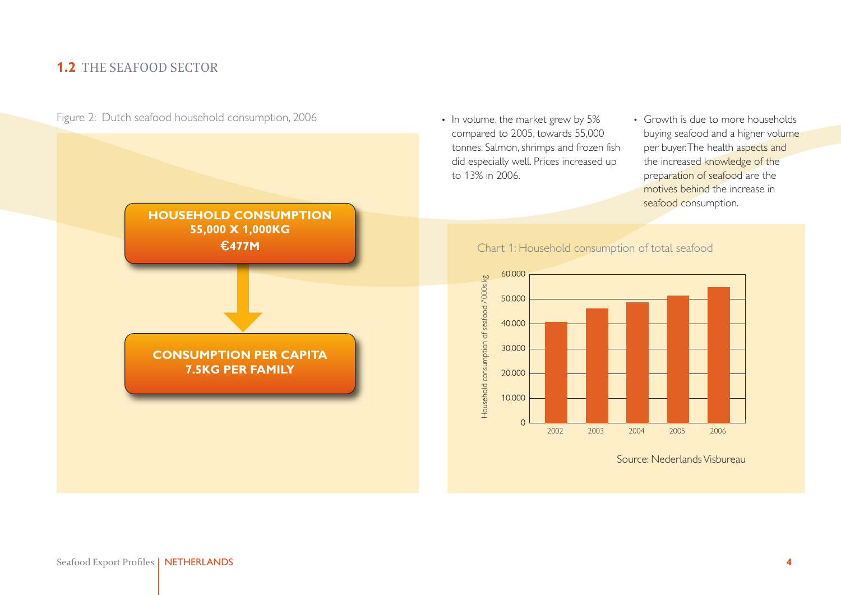

Figure 2: Dutch seafood household consumption, 2006

- In volume, the market grew by 5% compared to 2005, towards 55,000 tonnes. Salmon, shrimps and frozen fish did especially well. Prices increased up to 13% in 2006.
- Growth is due to more households buying seafood and a higher volume per buyer.The health aspects and the increased knowledge of the preparation of seafood are the motives behind the increase in seafood consumption.

#### Chart 1: Household consumption of total seafood



Source: NederlandsVisbureau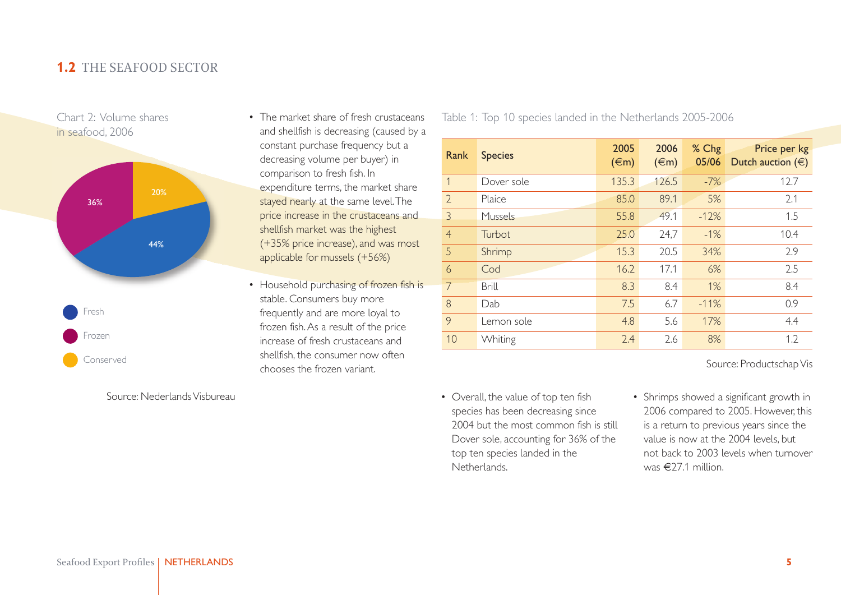

Source: NederlandsVisbureau

- The market share of fresh crustaceans and shellfish is decreasing (caused by a constant purchase frequency but a decreasing volume per buyer) in comparison to fresh fish. In expenditure terms, the market share stayed nearly at the same level.The price increase in the crustaceans and shellfish market was the highest (+35% price increase), and was most applicable for mussels (+56%)
- Household purchasing of frozen fish is stable. Consumers buy more frequently and are more loyal to frozen fish.As a result of the price increase of fresh crustaceans and shellfish, the consumer now often chooses the frozen variant.

Table 1: Top 10 species landed in the Netherlands 2005-2006

| Rank           | <b>Species</b> | 2005<br>$(\infty)$ | 2006<br>$(\infty)$ | % Chg<br>05/06 | Price per kg<br>Dutch auction $(\in)$ |
|----------------|----------------|--------------------|--------------------|----------------|---------------------------------------|
| $\mathbf{1}$   | Dover sole     | 135.3              | 126.5              | $-7%$          | 12.7                                  |
| $\overline{2}$ | Plaice         | 85.0               | 89.1               | 5%             | 2.1                                   |
| 3              | Mussels        | 55.8               | 49.1               | $-12%$         | 1.5                                   |
| $\overline{4}$ | Turbot         | 25.0               | 24,7               | $-1%$          | 10.4                                  |
| .5             | Shrimp         | 15.3               | 20.5               | 34%            | 2.9                                   |
| $\overline{6}$ | Cod            | 16.2               | 17.1               | 6%             | 2.5                                   |
| 7              | <b>Brill</b>   | 8.3                | 8.4                | 1%             | 8.4                                   |
| 8              | Dab            | 7.5                | 6.7                | $-11%$         | 0.9                                   |
| 9              | Lemon sole     | 4.8                | 5.6                | 17%            | 4.4                                   |
| 10             | Whiting        | 2.4                | 2.6                | 8%             | 1.2                                   |

Source: Productschap Vis

- Overall, the value of top ten fish species has been decreasing since 2004 but the most common fish is still Dover sole, accounting for 36% of the top ten species landed in the Netherlands.
- Shrimps showed a significant growth in 2006 compared to 2005. However, this is a return to previous years since the value is now at the 2004 levels, but not back to 2003 levels when turnover was  $\epsilon$ 27.1 million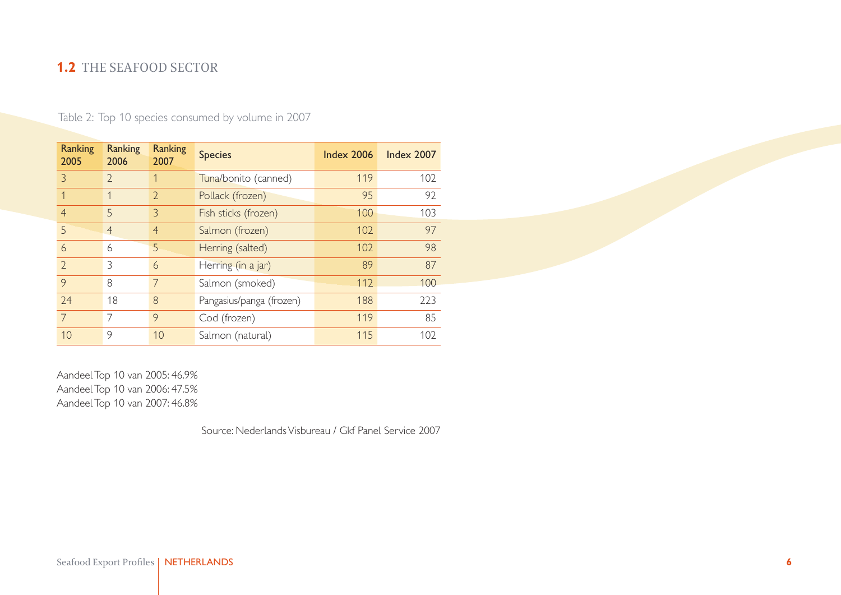| Ranking<br>2005 | <b>Ranking</b><br>2006 | Ranking<br>2007 | <b>Species</b>           | <b>Index 2006</b> | <b>Index 2007</b> |
|-----------------|------------------------|-----------------|--------------------------|-------------------|-------------------|
| 3               | $\mathcal{D}$          |                 | Tuna/bonito (canned)     | 119               | 102               |
|                 | 1                      | $\overline{2}$  | Pollack (frozen)         | 95                | 92                |
| $\overline{4}$  | 5                      | 3               | Fish sticks (frozen)     | 100               | 103               |
| 5               | $\overline{4}$         | $\overline{4}$  | Salmon (frozen)          | 102               | 97                |
| 6               | 6                      | 5               | Herring (salted)         | 102               | 98                |
| $\mathcal{D}$   | 3                      | 6               | Herring (in a jar)       | 89                | 87                |
| 9               | 8                      |                 | Salmon (smoked)          | 112               | 100               |
| 74              | 18                     | 8               | Pangasius/panga (frozen) | 188               | 223               |
| $\overline{7}$  | 7                      | 9               | Cod (frozen)             | 119               | 85                |
| 10              | 9                      | 10              | Salmon (natural)         | 115               | 102               |

Table 2: Top 10 species consumed by volume in 2007

AandeelTop 10 van 2005: 46.9% AandeelTop 10 van 2006: 47.5% AandeelTop 10 van 2007: 46.8%

Source: NederlandsVisbureau / Gkf Panel Service 2007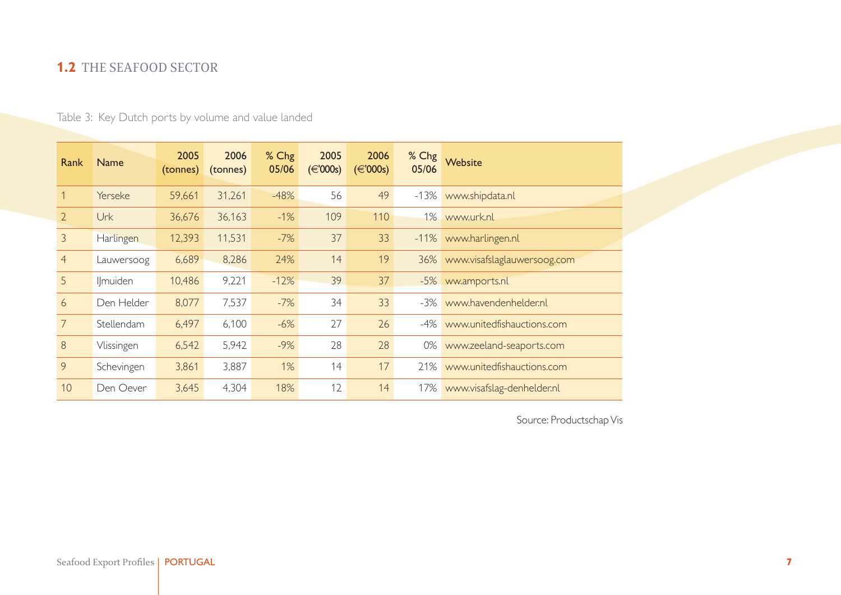Table 3: Key Dutch ports by volume and value landed

| Rank           | <b>Name</b> | 2005<br>(tonnes) | 2006<br>(tonnes) | % Chg<br>05/06 | 2005<br>$(\in$ '000s) | 2006<br>$(\in$ '000s) | % Chg<br>05/06 | Website                         |
|----------------|-------------|------------------|------------------|----------------|-----------------------|-----------------------|----------------|---------------------------------|
|                | Yerseke     | 59,661           | 31,261           | $-48%$         | 56                    | 49                    |                | -13% www.shipdata.nl            |
| $\overline{2}$ | Urk         | 36,676           | 36,163           | $-1%$          | 109                   | 110                   |                | 1% www.urk.nl                   |
| $\overline{3}$ | Harlingen   | 12,393           | 11,531           | $-7%$          | 37                    | 33                    |                | -11% www.harlingen.nl           |
| $\overline{4}$ | Lauwersoog  | 6,689            | 8,286            | 24%            | 14                    | 19                    |                | 36% www.visafslaglauwersoog.com |
| 5              | Ilmuiden    | 10,486           | 9,221            | $-12%$         | 39                    | 37                    |                | -5% ww.amports.nl               |
| 6              | Den Helder  | 8,077            | 7,537            | $-7%$          | 34                    | 33                    |                | -3% www.havendenhelder.nl       |
| $\overline{7}$ | Stellendam  | 6,497            | 6,100            | $-6%$          | 27                    | 26                    |                | -4% www.unitedfishauctions.com  |
| $8\,$          | Vlissingen  | 6,542            | 5,942            | $-9%$          | 28                    | 28                    | 0%             | www.zeeland-seaports.com        |
| 9              | Schevingen  | 3,861            | 3,887            | 1%             | 14                    | 17                    |                | 21% www.unitedfishauctions.com  |
| 10             | Den Oever   | 3,645            | 4,304            | 18%            | 12                    | 14                    | 17%            | www.visafslag-denhelder.nl      |

Source: Productschap Vis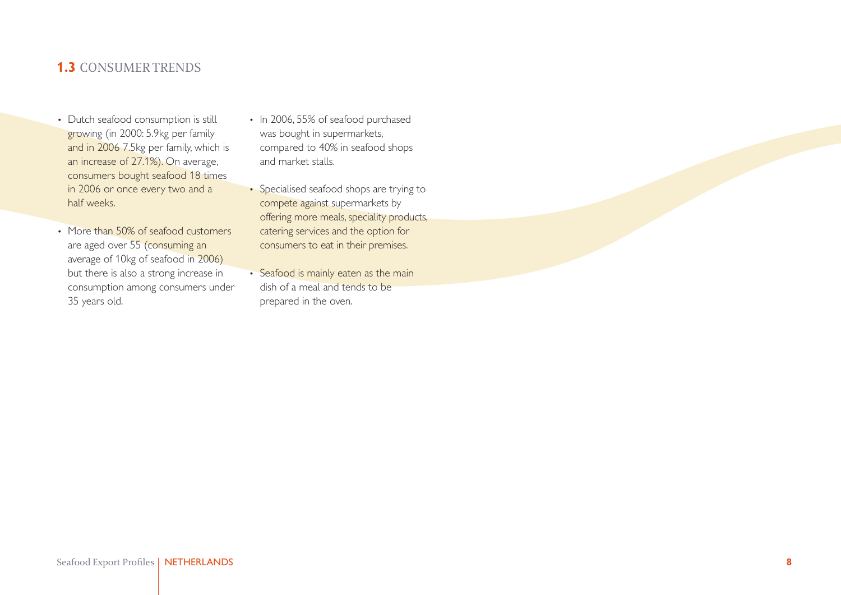## <span id="page-7-0"></span>**1.3** CONSUMERTRENDS

- Dutch seafood consumption is still growing (in 2000: 5.9kg per family and in 2006 7.5kg per family, which is an increase of 27.1%). On average, consumers bought seafood 18 times in 2006 or once every two and a half weeks.
- More than 50% of seafood customers are aged over 55 (consuming an average of 10kg of seafood in 2006) but there is also a strong increase in consumption among consumers under 35 years old.
- In 2006, 55% of seafood purchased was bought in supermarkets, compared to 40% in seafood shops and market stalls.
- Specialised seafood shops are trying to compete against supermarkets by offering more meals, speciality products, catering services and the option for consumers to eat in their premises.
- Seafood is mainly eaten as the main dish of a meal and tends to be prepared in the oven.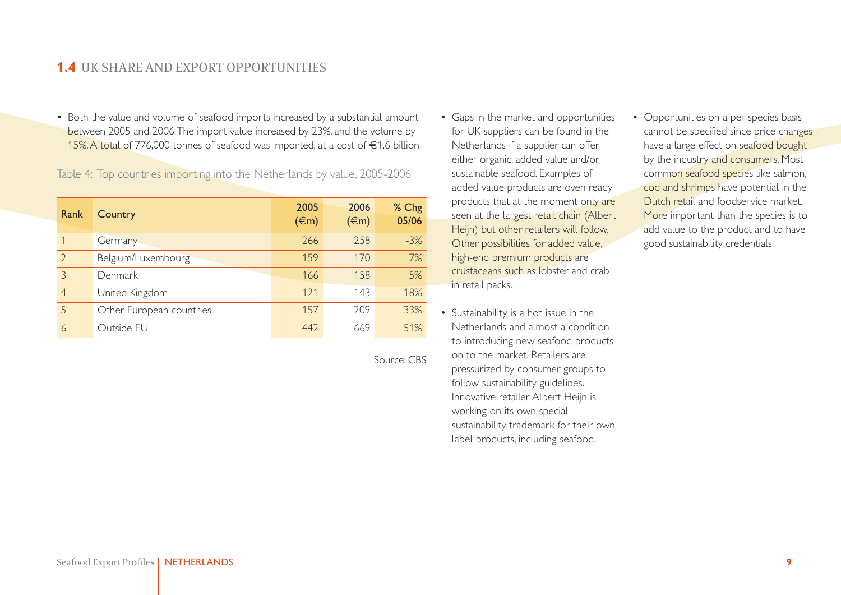### <span id="page-8-0"></span>**1.4** UK SHARE AND EXPORT OPPORTUNITIES

• Both the value and volume of seafood imports increased by a substantial amount between 2005 and 2006.The import value increased by 23%, and the volume by 15%.A total of 776,000 tonnes of seafood was imported, at a cost of €1.6 billion.

Table 4: Top countries importing into the Netherlands by value, 2005-2006

| Rank                     | Country                  | 2005<br>$(\infty)$ | 2006<br>$(\infty)$ | % Chg<br>05/06 |
|--------------------------|--------------------------|--------------------|--------------------|----------------|
|                          | Germany                  | 266                | 258                | $-3%$          |
| $\overline{\phantom{0}}$ | Belgium/Luxembourg       | 159                | 170                | 7%             |
| $\mathcal{S}$            | Denmark                  | 166                | 158                | $-5%$          |
| $\overline{4}$           | United Kingdom           | 121                | 143                | 18%            |
| 5                        | Other European countries | 157                | 209                | 33%            |
| 6                        | Outside EU               | 442                | 669                | 51%            |

Source: CBS

- Gaps in the market and opportunities for UK suppliers can be found in the Netherlands if a supplier can offer either organic, added value and/or sustainable seafood. Examples of added value products are oven ready products that at the moment only are seen at the largest retail chain (Albert Heijn) but other retailers will follow. Other possibilities for added value, high-end premium products are crustaceans such as lobster and crab in retail packs.
- Sustainability is a hot issue in the Netherlands and almost a condition to introducing new seafood products on to the market. Retailers are pressurized by consumer groups to follow sustainability guidelines. Innovative retailer Albert Heijn is working on its own special sustainability trademark for their own label products, including seafood.
- Opportunities on a per species basis cannot be specified since price changes have a large effect on seafood bought by the industry and consumers. Most common seafood species like salmon, cod and shrimps have potential in the Dutch retail and foodservice market. More important than the species is to add value to the product and to have good sustainability credentials.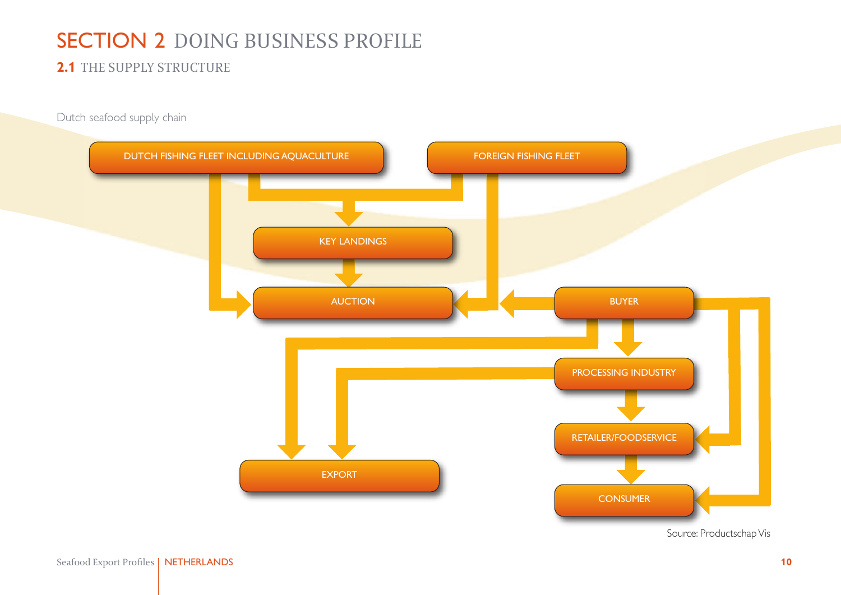## <span id="page-9-0"></span>SECTION 2 DOING BUSINESS PROFILE

## **2.1** THE SUPPLY STRUCTURE

Dutch seafood supply chain



Source: Productschap Vis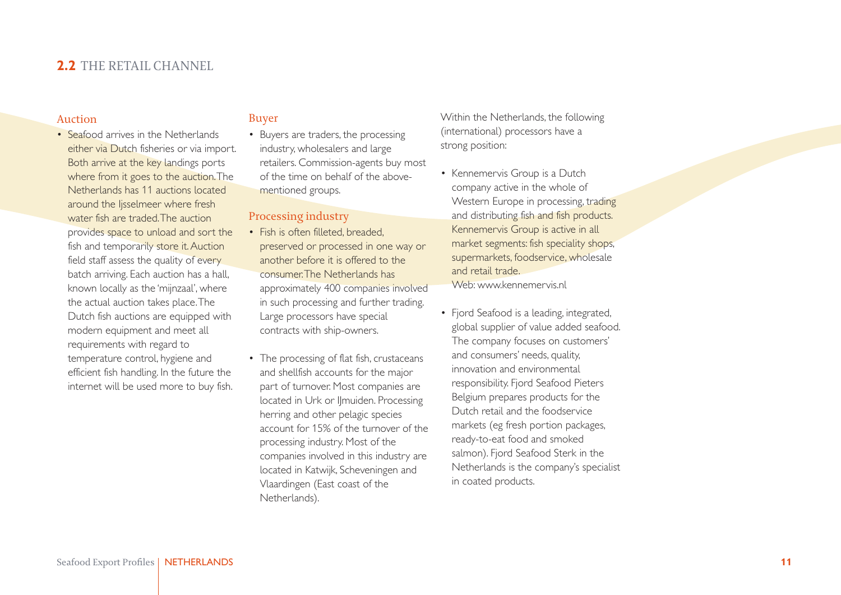### <span id="page-10-0"></span>**2.2** THE RETAIL CHANNEL

#### Auction

• Seafood arrives in the Netherlands either via Dutch fisheries or via import. Both arrive at the key landings ports where from it goes to the auction. The Netherlands has 11 auctions located around the Ijsselmeer where fresh water fish are traded. The auction provides space to unload and sort the fish and temporarily store it. Auction field staff assess the quality of every batch arriving. Each auction has a hall, known locally as the 'mijnzaal', where the actual auction takes place.The Dutch fish auctions are equipped with modern equipment and meet all requirements with regard to temperature control, hygiene and efficient fish handling. In the future the internet will be used more to buy fish.

#### Buyer

• Buyers are traders, the processing industry, wholesalers and large retailers. Commission-agents buy most of the time on behalf of the abovementioned groups.

#### Processing industry

- Fish is often filleted, breaded, preserved or processed in one way or another before it is offered to the consumer.The Netherlands has approximately 400 companies involved in such processing and further trading. Large processors have special contracts with ship-owners.
- The processing of flat fish, crustaceans and shellfish accounts for the major part of turnover. Most companies are located in Urk or Ilmuiden. Processing herring and other pelagic species account for 15% of the turnover of the processing industry. Most of the companies involved in this industry are located in Katwijk, Scheveningen and Vlaardingen (East coast of the Netherlands).

Within the Netherlands, the following (international) processors have a strong position:

• Kennemervis Group is a Dutch company active in the whole of Western Europe in processing, trading and distributing fish and fish products. Kennemervis Group is active in all market segments: fish speciality shops, supermarkets, foodservice, wholesale and retail trade.

Web: [www.kennemervis.nl](http://www.kennemervis.nl)

• Fjord Seafood is a leading, integrated, global supplier of value added seafood. The company focuses on customers' and consumers' needs, quality, innovation and environmental responsibility. Fjord Seafood Pieters Belgium prepares products for the Dutch retail and the foodservice markets (eg fresh portion packages, ready-to-eat food and smoked salmon). Fjord Seafood Sterk in the Netherlands is the company's specialist in coated products.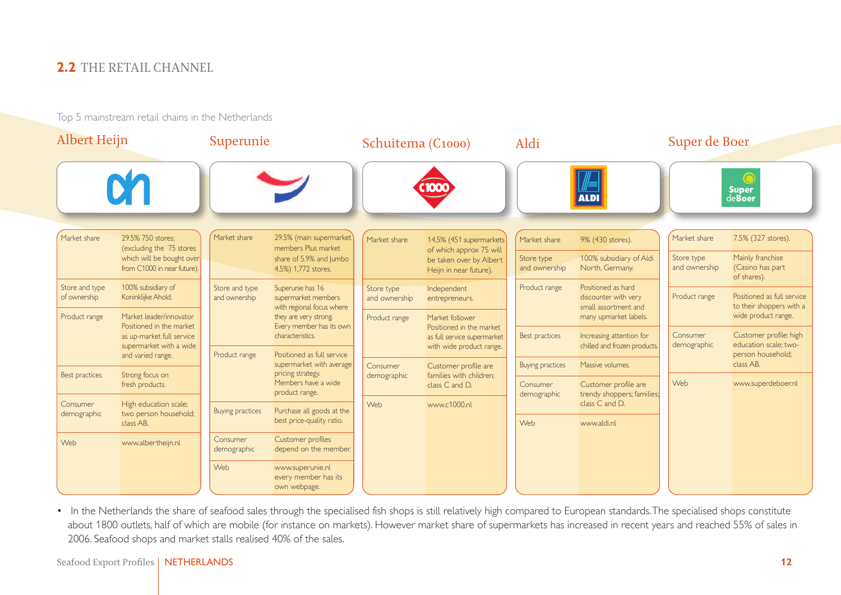## **2.2** THE RETAIL CHANNEL

Top 5 mainstream retail chains in the Netherlands

| <b>Albert Heijn</b>            |                                                          | Superunie                       |                                                                      | Schuitema (C1000)           |                                                                                                        | Aldi                        |                                                                    | Super de Boer               |                                                        |  |  |  |  |                |  |  |             |                                           |                         |                                                    |     |                    |
|--------------------------------|----------------------------------------------------------|---------------------------------|----------------------------------------------------------------------|-----------------------------|--------------------------------------------------------------------------------------------------------|-----------------------------|--------------------------------------------------------------------|-----------------------------|--------------------------------------------------------|--|--|--|--|----------------|--|--|-------------|-------------------------------------------|-------------------------|----------------------------------------------------|-----|--------------------|
|                                |                                                          |                                 |                                                                      |                             |                                                                                                        |                             | <b>ALDI</b>                                                        |                             | $\mathbf C$<br><b>Super</b><br>deBoer                  |  |  |  |  |                |  |  |             |                                           |                         |                                                    |     |                    |
| Market share                   | 29.5% 750 stores:<br>(excluding the 75 stores)           | Market share                    | 29.5% (main supermarket)<br>members Plus market                      | Market share                | 14.5% (451 supermarkets)                                                                               | Market share                | 9% (430 stores).                                                   | Market share                | 7.5% (327 stores).                                     |  |  |  |  |                |  |  |             |                                           |                         |                                                    |     |                    |
|                                | which will be bought over<br>from C1000 in near future). |                                 | share of 5.9% and Jumbo<br>4.5%) 1,772 stores.                       |                             | of which approx 75 will<br>be taken over by Albert<br>Heijn in near future).                           | Store type<br>and ownership | 100% subsidiary of Aldi<br>North, Germany.                         | Store type<br>and ownership | Mainly franchise<br>(Casino has part<br>of shares).    |  |  |  |  |                |  |  |             |                                           |                         |                                                    |     |                    |
| Store and type<br>of ownership | 100% subsidiary of<br>Koninklijke Ahold.                 | Store and type<br>and ownership | Superunie has 16<br>supermarket members<br>with regional focus where | Store type<br>and ownership | Independent<br>entrepreneurs.                                                                          | Product range               | Positioned as hard<br>discounter with very<br>small assortment and | Product range               | Positioned as full service<br>to their shoppers with a |  |  |  |  |                |  |  |             |                                           |                         |                                                    |     |                    |
| Product range                  | Market leader/innovator<br>Positioned in the market      |                                 | they are very strong.<br>Every member has its own                    | Product range               | Market follower<br>Positioned in the market<br>as full service supermarket<br>with wide product range. |                             | many upmarket labels.                                              |                             | wide product range.                                    |  |  |  |  |                |  |  |             |                                           |                         |                                                    |     |                    |
|                                | as up-market full service<br>supermarket with a wide     |                                 | characteristics.                                                     |                             |                                                                                                        | Best practices              | Increasing attention for<br>chilled and frozen products.           | Consumer<br>demographic     | Customer profile: high<br>education scale: two-        |  |  |  |  |                |  |  |             |                                           |                         |                                                    |     |                    |
|                                | and varied range.                                        | Product range                   | Positioned as full service<br>supermarket with average               | Consumer                    | Customer profile are                                                                                   | <b>Buying practices</b>     | Massive volumes.                                                   |                             | person household;<br>class AB.                         |  |  |  |  |                |  |  |             |                                           |                         |                                                    |     |                    |
| Best practices                 | Strong focus on<br>fresh products.                       |                                 |                                                                      |                             | pricing strategy.<br>Members have a wide                                                               |                             |                                                                    |                             |                                                        |  |  |  |  | product range. |  |  | demographic | families with children;<br>class C and D. | Consumer<br>demographic | Customer profile are<br>trendy shoppers; families; | Web | www.superdeboer.nl |
| Consumer<br>demographic        | High education scale;<br>two person household;           | Buying practices                | Purchase all goods at the                                            | Web                         | www.c1000.nl                                                                                           |                             | class C and D.                                                     |                             |                                                        |  |  |  |  |                |  |  |             |                                           |                         |                                                    |     |                    |
|                                | class AB.                                                |                                 | best price-quality ratio.                                            |                             |                                                                                                        | Web                         | www.aldi.nl                                                        |                             |                                                        |  |  |  |  |                |  |  |             |                                           |                         |                                                    |     |                    |
| Web                            | www.albertheijn.nl                                       | Consumer<br>demographic         | Customer profiles<br>depend on the member.                           |                             |                                                                                                        |                             |                                                                    |                             |                                                        |  |  |  |  |                |  |  |             |                                           |                         |                                                    |     |                    |
|                                |                                                          | Web                             | www.superunie.nl<br>every member has its<br>own webpage.             |                             |                                                                                                        |                             |                                                                    |                             |                                                        |  |  |  |  |                |  |  |             |                                           |                         |                                                    |     |                    |

• In the Netherlands the share of seafood sales through the specialised fish shops is still relatively high compared to European standards.The specialised shops constitute about 1800 outlets, half of which are mobile (for instance on markets). However market share of supermarkets has increased in recent years and reached 55% of sales in 2006. Seafood shops and market stalls realised 40% of the sales.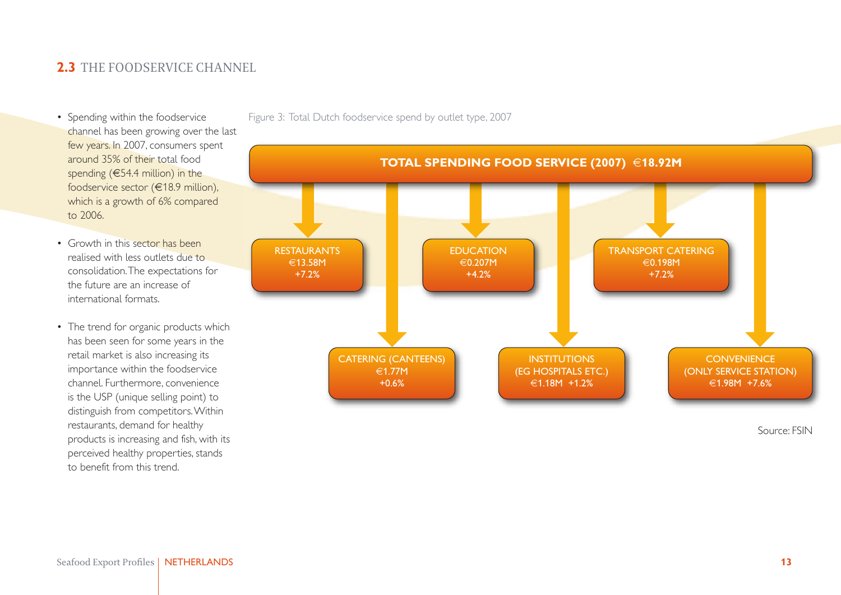## <span id="page-12-0"></span>**2.3** THE FOODSERVICE CHANNEL

- Spending within the foodservice channel has been growing over the last few years. In 2007, consumers spent around 35% of their total food spending (€54.4 million) in the foodservice sector (€18.9 million), which is a growth of 6% compared to 2006.
- Growth in this sector has been realised with less outlets due to consolidation.The expectations for the future are an increase of international formats.
- The trend for organic products which has been seen for some years in the retail market is also increasing its importance within the foodservice channel. Furthermore, convenience is the USP (unique selling point) to distinguish from competitors.Within restaurants, demand for healthy products is increasing and fish, with its perceived healthy properties, stands to benefit from this trend.

RESTAURANTS €13.58M +7.2% EDUCATION €0.207M +4.2% CATERING (CANTEENS) €1.77M +0.6% **INSTITUTIONS** (EG HOSPITALS ETC.) €1.18M +1.2% **CONVENIENCE** (ONLY SERVICE STATION) €1.98M +7.6% TRANSPORT CATERING €0.198M +7.2%

**TOTAL SPENDING FOOD SERVICE (2007)** €**18.92M**

Figure 3: Total Dutch foodservice spend by outlet type, 2007

Source: FSIN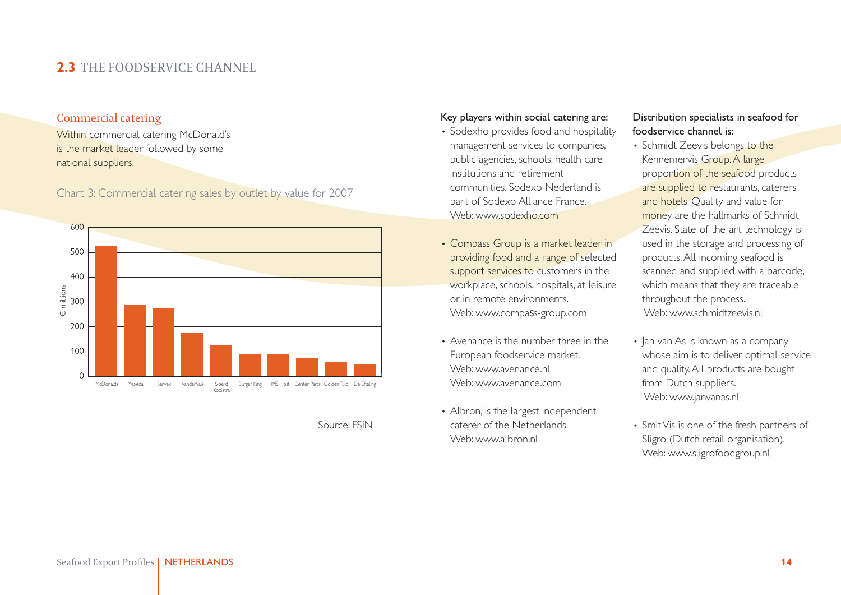## **2.3** THE FOODSERVICE CHANNEL

#### Commercial catering

Within commercial catering McDonald's is the market leader followed by some national suppliers.

Chart 3: Commercial catering sales by outlet by value for 2007



#### Source: FSIN

#### Key players within social catering are:

- Sodexho provides food and hospitality management services to companies, public agencies, schools, health care institutions and retirement communities. Sodexo Nederland is part of Sodexo Alliance France. Web: [www.sodexho.com](http://www.sodexho.com)
- Compass Group is a market leader in providing food and a range of selected support services to customers in the workplace, schools, hospitals, at leisure or in remote environments. Web: [www.compa](http://www.compass-group.com)ss-group.com
- Avenance is the number three in the European foodservice market. Web: [www.avenance.nl](http://www.avenance.nl) Web: [www.avenance.com](http://www.avenance.com)
- Albron, is the largest independent caterer of the Netherlands. Web: [www.albron.nl](http://www.albron.nl)

#### Distribution specialists in seafood for foodservice channel is:

- Schmidt Zeevis belongs to the Kennemervis Group.A large proportion of the seafood products are supplied to restaurants, caterers and hotels. Quality and value for money are the hallmarks of Schmidt Zeevis. State-of-the-art technology is used in the storage and processing of products.All incoming seafood is scanned and supplied with a barcode, which means that they are traceable throughout the process. Web: [www.schmidtzeevis.nl](http://www.schmidtzeevis.nl)
- Jan van As is known as a company whose aim is to deliver optimal service and quality.All products are bought from Dutch suppliers. Web: [www.janvanas.nl](http://www.janvanas.nl)
- SmitVis is one of the fresh partners of Sligro (Dutch retail organisation). Web: [www.sligrofoodgroup.nl](http://www.sligrofoodgroup.nl)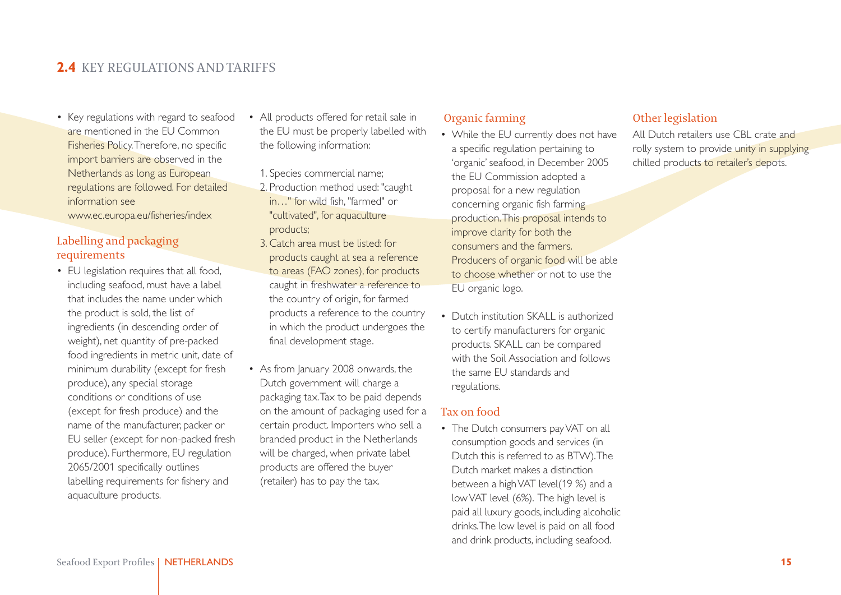## <span id="page-14-0"></span>**2.4** KEY REGULATIONS AND TARIFFS

• Key regulations with regard to seafood are mentioned in the EU Common Fisheries Policy.Therefore, no specific import barriers are observed in the Netherlands as long as European regulations are followed. For detailed information see

[www.ec.europa.eu/fisheries/index](http://ec.europa.eu/fisheries/index_en.htm)

#### Labelling and packaging requirements

• EU legislation requires that all food, including seafood, must have a label that includes the name under which the product is sold, the list of ingredients (in descending order of weight), net quantity of pre-packed food ingredients in metric unit, date of minimum durability (except for fresh produce), any special storage conditions or conditions of use (except for fresh produce) and the name of the manufacturer, packer or EU seller (except for non-packed fresh produce). Furthermore, EU regulation 2065/2001 specifically outlines labelling requirements for fishery and aquaculture products.

- All products offered for retail sale in the EU must be properly labelled with the following information:
	- 1. Species commercial name;
	- 2. Production method used: "caught in…" for wild fish, "farmed" or "cultivated", for aquaculture products;
- 3. Catch area must be listed: for products caught at sea a reference to areas (FAO zones), for products caught in freshwater a reference to the country of origin, for farmed products a reference to the country in which the product undergoes the final development stage.
- As from January 2008 onwards, the Dutch government will charge a packaging tax.Tax to be paid depends on the amount of packaging used for a certain product. Importers who sell a branded product in the Netherlands will be charged, when private label products are offered the buyer (retailer) has to pay the tax.

#### Organic farming

- While the EU currently does not have a specific regulation pertaining to 'organic' seafood, in December 2005 the EU Commission adopted a proposal for a new regulation concerning organic fish farming production.This proposal intends to improve clarity for both the consumers and the farmers. Producers of organic food will be able to choose whether or not to use the EU organic logo.
- Dutch institution SKALL is authorized to certify manufacturers for organic products. SKALL can be compared with the Soil Association and follows the same EU standards and regulations.

#### Tax on food

• The Dutch consumers pay VAT on all consumption goods and services (in Dutch this is referred to as BTW).The Dutch market makes a distinction between a highVAT level(19 %) and a lowVAT level (6%). The high level is paid all luxury goods, including alcoholic drinks.The low level is paid on all food and drink products, including seafood.

#### Other legislation

All Dutch retailers use CBL crate and rolly system to provide unity in supplying chilled products to retailer's depots.